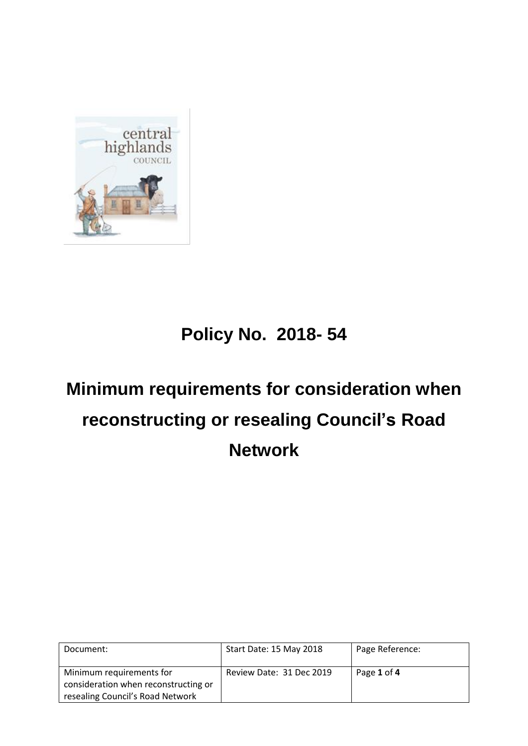

# **Policy No. 2018- 54**

# **Minimum requirements for consideration when reconstructing or resealing Council's Road Network**

| Document:                                                        | Start Date: 15 May 2018  | Page Reference: |
|------------------------------------------------------------------|--------------------------|-----------------|
| Minimum requirements for<br>consideration when reconstructing or | Review Date: 31 Dec 2019 | Page 1 of 4     |
| resealing Council's Road Network                                 |                          |                 |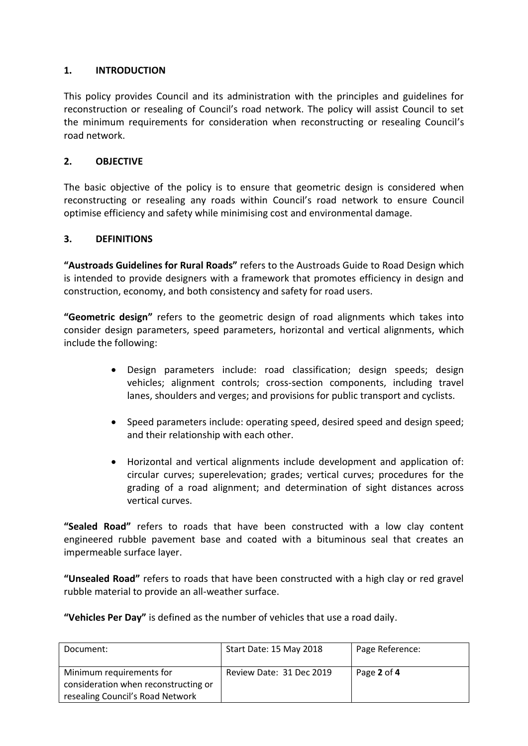## **1. INTRODUCTION**

This policy provides Council and its administration with the principles and guidelines for reconstruction or resealing of Council's road network. The policy will assist Council to set the minimum requirements for consideration when reconstructing or resealing Council's road network.

#### **2. OBJECTIVE**

The basic objective of the policy is to ensure that geometric design is considered when reconstructing or resealing any roads within Council's road network to ensure Council optimise efficiency and safety while minimising cost and environmental damage.

#### **3. DEFINITIONS**

**"Austroads Guidelines for Rural Roads"** refers to the Austroads Guide to Road Design which is intended to provide designers with a framework that promotes efficiency in design and construction, economy, and both consistency and safety for road users.

**"Geometric design"** refers to the geometric design of road alignments which takes into consider design parameters, speed parameters, horizontal and vertical alignments, which include the following:

- Design parameters include: road classification; design speeds; design vehicles; alignment controls; cross-section components, including travel lanes, shoulders and verges; and provisions for public transport and cyclists.
- Speed parameters include: operating speed, desired speed and design speed; and their relationship with each other.
- Horizontal and vertical alignments include development and application of: circular curves; superelevation; grades; vertical curves; procedures for the grading of a road alignment; and determination of sight distances across vertical curves.

**"Sealed Road"** refers to roads that have been constructed with a low clay content engineered rubble pavement base and coated with a bituminous seal that creates an impermeable surface layer.

**"Unsealed Road"** refers to roads that have been constructed with a high clay or red gravel rubble material to provide an all-weather surface.

**"Vehicles Per Day"** is defined as the number of vehicles that use a road daily.

| Document:                            | Start Date: 15 May 2018  | Page Reference: |
|--------------------------------------|--------------------------|-----------------|
| Minimum requirements for             | Review Date: 31 Dec 2019 | Page 2 of 4     |
| consideration when reconstructing or |                          |                 |
| resealing Council's Road Network     |                          |                 |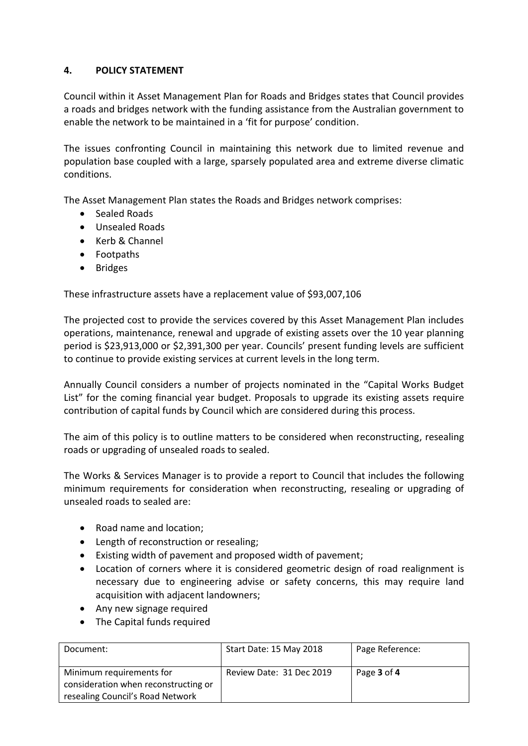## **4. POLICY STATEMENT**

Council within it Asset Management Plan for Roads and Bridges states that Council provides a roads and bridges network with the funding assistance from the Australian government to enable the network to be maintained in a 'fit for purpose' condition.

The issues confronting Council in maintaining this network due to limited revenue and population base coupled with a large, sparsely populated area and extreme diverse climatic conditions.

The Asset Management Plan states the Roads and Bridges network comprises:

- Sealed Roads
- Unsealed Roads
- Kerb & Channel
- Footpaths
- Bridges

These infrastructure assets have a replacement value of \$93,007,106

The projected cost to provide the services covered by this Asset Management Plan includes operations, maintenance, renewal and upgrade of existing assets over the 10 year planning period is \$23,913,000 or \$2,391,300 per year. Councils' present funding levels are sufficient to continue to provide existing services at current levels in the long term.

Annually Council considers a number of projects nominated in the "Capital Works Budget List" for the coming financial year budget. Proposals to upgrade its existing assets require contribution of capital funds by Council which are considered during this process.

The aim of this policy is to outline matters to be considered when reconstructing, resealing roads or upgrading of unsealed roads to sealed.

The Works & Services Manager is to provide a report to Council that includes the following minimum requirements for consideration when reconstructing, resealing or upgrading of unsealed roads to sealed are:

- Road name and location;
- Length of reconstruction or resealing;
- Existing width of pavement and proposed width of pavement;
- Location of corners where it is considered geometric design of road realignment is necessary due to engineering advise or safety concerns, this may require land acquisition with adjacent landowners;
- Any new signage required
- The Capital funds required

| Document:                            | Start Date: 15 May 2018  | Page Reference: |
|--------------------------------------|--------------------------|-----------------|
| Minimum requirements for             | Review Date: 31 Dec 2019 | Page 3 of 4     |
| consideration when reconstructing or |                          |                 |
| resealing Council's Road Network     |                          |                 |